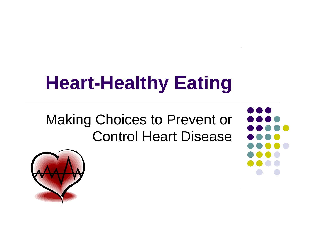# **Heart-Healthy Eating**

#### Making Choices to Prevent or Control Heart Disease



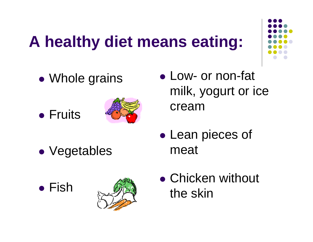## **A healthy diet means eating:**



- $\bullet$ Whole grains
- **Fruits**



 $\bullet$ Vegetables





- Low- or non-fat milk, yogurt or ice cream
- $\bullet$ • Lean pieces of meat
- Chicken without the skin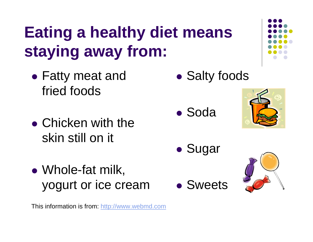## **Eating a healthy diet means staying away from:**

- $\bullet$  Fatty meat and fried foods
- Chicken with the skin still on it
- $\bullet$  Whole-fat milk, yogurt or ice cream

This information is from: http://www.webmd.com

- $\bullet$ **• Salty foods**
- Soda



- $\bullet$ Sugar
- Sweets

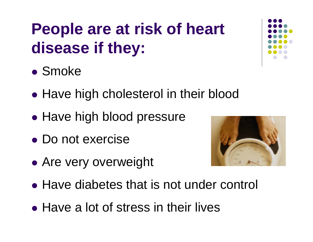## **People are at risk of heart disease if they:**

- Smoke
- $\bullet$ • Have high cholesterol in their blood
- $\bullet$ • Have high blood pressure
- Do not exercise
- $\bullet$ Are very overweight
- Have diabetes that is not under control
- Have a lot of stress in their lives



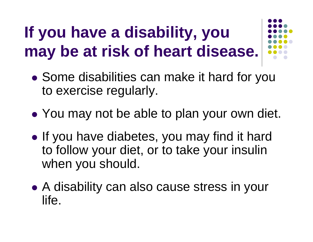# **If you have a disability, you may be at risk of heart disease.**



- $\bullet$  Some disabilities can make it hard for you to exercise regularly.
- $\bullet$ You may not be able to plan your own diet.
- $\bullet$ • If you have diabetes, you may find it hard to follow your diet, or to take your insulin when you should.
- $\bullet$  A disability can also cause stress in your life.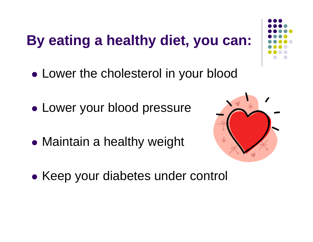#### **By eating a healthy diet, you can:**

- $\bullet$ Lower the cholesterol in your blood
- $\bullet$ Lower your blood pressure
- $\bullet$ Maintain a healthy weight



 $\bullet$ • Keep your diabetes under control

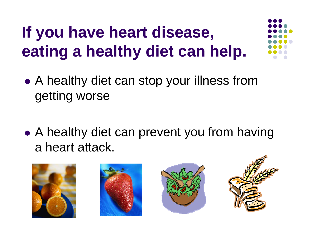# **If you have heart disease, eating a healthy diet can help.**

- $\bullet$  A healthy diet can stop your illness from getting worse
- $\bullet$ • A healthy diet can prevent you from having a heart attack.